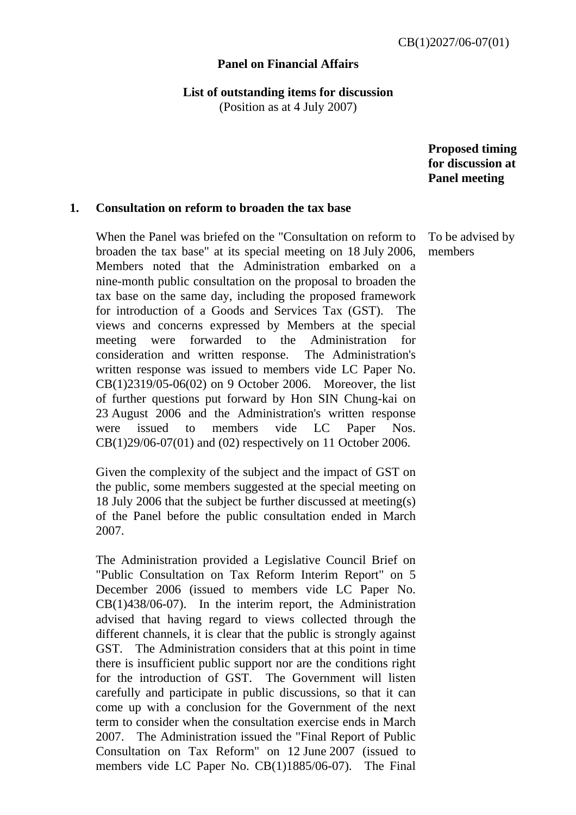## **Panel on Financial Affairs**

**List of outstanding items for discussion** 

(Position as at 4 July 2007)

 **Proposed timing for discussion at Panel meeting** 

## **1. Consultation on reform to broaden the tax base**

 When the Panel was briefed on the "Consultation on reform to broaden the tax base" at its special meeting on 18 July 2006, Members noted that the Administration embarked on a nine-month public consultation on the proposal to broaden the tax base on the same day, including the proposed framework for introduction of a Goods and Services Tax (GST). The views and concerns expressed by Members at the special meeting were forwarded to the Administration for consideration and written response. The Administration's written response was issued to members vide LC Paper No. CB(1)2319/05-06(02) on 9 October 2006. Moreover, the list of further questions put forward by Hon SIN Chung-kai on 23 August 2006 and the Administration's written response were issued to members vide LC Paper Nos. CB(1)29/06-07(01) and (02) respectively on 11 October 2006.

 Given the complexity of the subject and the impact of GST on the public, some members suggested at the special meeting on 18 July 2006 that the subject be further discussed at meeting(s) of the Panel before the public consultation ended in March 2007.

 The Administration provided a Legislative Council Brief on "Public Consultation on Tax Reform Interim Report" on 5 December 2006 (issued to members vide LC Paper No. CB(1)438/06-07). In the interim report, the Administration advised that having regard to views collected through the different channels, it is clear that the public is strongly against GST. The Administration considers that at this point in time there is insufficient public support nor are the conditions right for the introduction of GST. The Government will listen carefully and participate in public discussions, so that it can come up with a conclusion for the Government of the next term to consider when the consultation exercise ends in March 2007. The Administration issued the "Final Report of Public Consultation on Tax Reform" on 12 June 2007 (issued to members vide LC Paper No. CB(1)1885/06-07). The Final

To be advised by members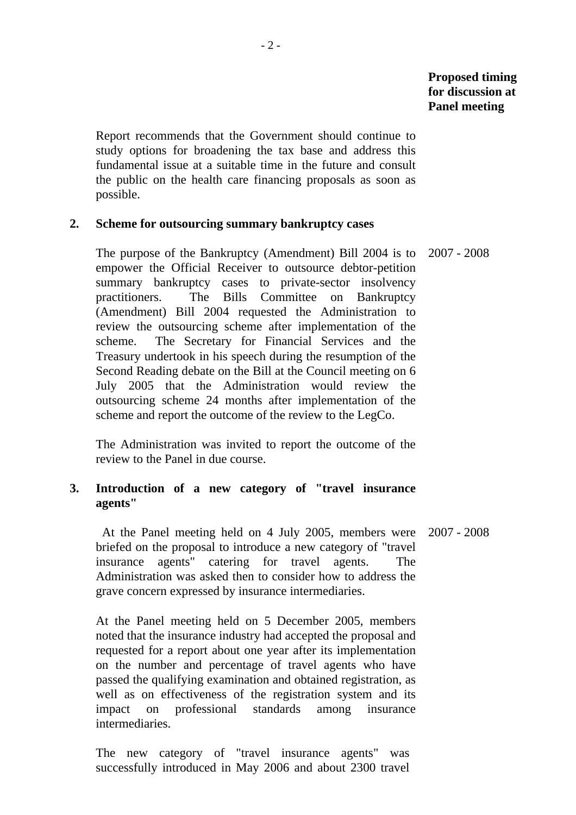Report recommends that the Government should continue to study options for broadening the tax base and address this fundamental issue at a suitable time in the future and consult the public on the health care financing proposals as soon as possible.

- 2 -

## **2. Scheme for outsourcing summary bankruptcy cases**

 The purpose of the Bankruptcy (Amendment) Bill 2004 is to empower the Official Receiver to outsource debtor-petition summary bankruptcy cases to private-sector insolvency practitioners. The Bills Committee on Bankruptcy (Amendment) Bill 2004 requested the Administration to review the outsourcing scheme after implementation of the scheme. The Secretary for Financial Services and the Treasury undertook in his speech during the resumption of the Second Reading debate on the Bill at the Council meeting on 6 July 2005 that the Administration would review the outsourcing scheme 24 months after implementation of the scheme and report the outcome of the review to the LegCo. 2007 - 2008

 The Administration was invited to report the outcome of the review to the Panel in due course.

# **3. Introduction of a new category of "travel insurance agents"**

 At the Panel meeting held on 4 July 2005, members were 2007 - 2008 briefed on the proposal to introduce a new category of "travel insurance agents" catering for travel agents. The Administration was asked then to consider how to address the grave concern expressed by insurance intermediaries.

 At the Panel meeting held on 5 December 2005, members noted that the insurance industry had accepted the proposal and requested for a report about one year after its implementation on the number and percentage of travel agents who have passed the qualifying examination and obtained registration, as well as on effectiveness of the registration system and its impact on professional standards among insurance intermediaries.

 The new category of "travel insurance agents" was successfully introduced in May 2006 and about 2300 travel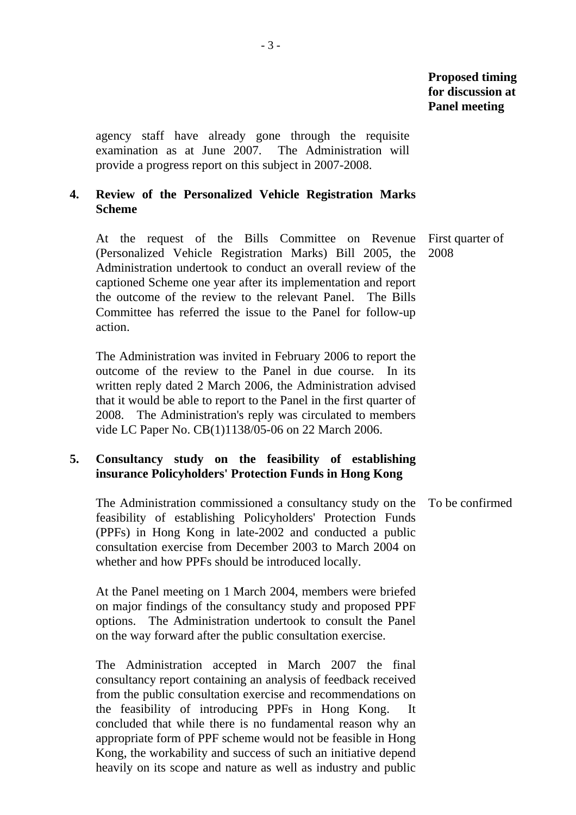agency staff have already gone through the requisite examination as at June 2007. The Administration will provide a progress report on this subject in 2007-2008.

## **4. Review of the Personalized Vehicle Registration Marks Scheme**

 At the request of the Bills Committee on Revenue (Personalized Vehicle Registration Marks) Bill 2005, the Administration undertook to conduct an overall review of the captioned Scheme one year after its implementation and report the outcome of the review to the relevant Panel. The Bills Committee has referred the issue to the Panel for follow-up action.

 The Administration was invited in February 2006 to report the outcome of the review to the Panel in due course. In its written reply dated 2 March 2006, the Administration advised that it would be able to report to the Panel in the first quarter of 2008. The Administration's reply was circulated to members vide LC Paper No. CB(1)1138/05-06 on 22 March 2006.

# **5. Consultancy study on the feasibility of establishing insurance Policyholders' Protection Funds in Hong Kong**

 The Administration commissioned a consultancy study on the feasibility of establishing Policyholders' Protection Funds (PPFs) in Hong Kong in late-2002 and conducted a public consultation exercise from December 2003 to March 2004 on whether and how PPFs should be introduced locally. To be confirmed

 At the Panel meeting on 1 March 2004, members were briefed on major findings of the consultancy study and proposed PPF options. The Administration undertook to consult the Panel on the way forward after the public consultation exercise.

 The Administration accepted in March 2007 the final consultancy report containing an analysis of feedback received from the public consultation exercise and recommendations on the feasibility of introducing PPFs in Hong Kong. concluded that while there is no fundamental reason why an appropriate form of PPF scheme would not be feasible in Hong Kong, the workability and success of such an initiative depend heavily on its scope and nature as well as industry and public

First quarter of 2008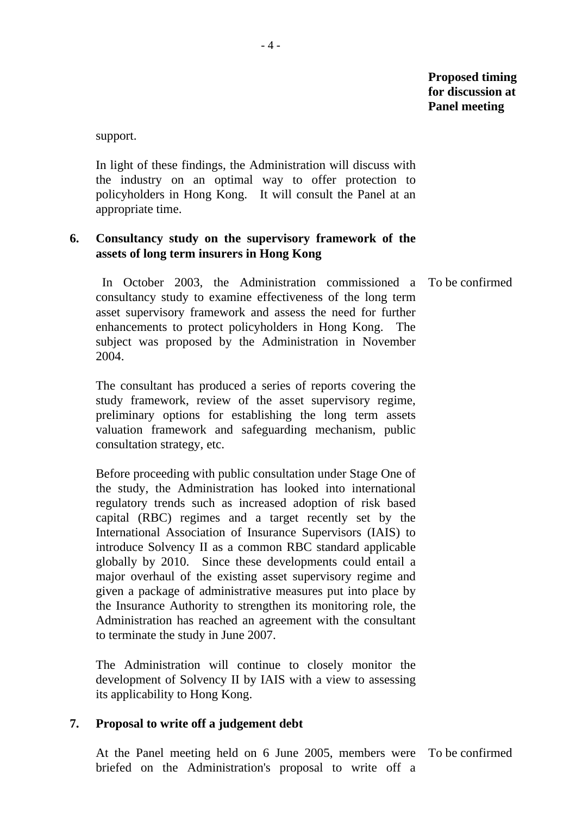# **Proposed timing for discussion at Panel meeting**

support.

 In light of these findings, the Administration will discuss with the industry on an optimal way to offer protection to policyholders in Hong Kong. It will consult the Panel at an appropriate time.

## **6. Consultancy study on the supervisory framework of the assets of long term insurers in Hong Kong**

 In October 2003, the Administration commissioned a To be confirmed consultancy study to examine effectiveness of the long term asset supervisory framework and assess the need for further enhancements to protect policyholders in Hong Kong. The subject was proposed by the Administration in November 2004.

 The consultant has produced a series of reports covering the study framework, review of the asset supervisory regime, preliminary options for establishing the long term assets valuation framework and safeguarding mechanism, public consultation strategy, etc.

 Before proceeding with public consultation under Stage One of the study, the Administration has looked into international regulatory trends such as increased adoption of risk based capital (RBC) regimes and a target recently set by the International Association of Insurance Supervisors (IAIS) to introduce Solvency II as a common RBC standard applicable globally by 2010. Since these developments could entail a major overhaul of the existing asset supervisory regime and given a package of administrative measures put into place by the Insurance Authority to strengthen its monitoring role, the Administration has reached an agreement with the consultant to terminate the study in June 2007.

 The Administration will continue to closely monitor the development of Solvency II by IAIS with a view to assessing its applicability to Hong Kong.

#### **7. Proposal to write off a judgement debt**

 At the Panel meeting held on 6 June 2005, members were To be confirmed briefed on the Administration's proposal to write off a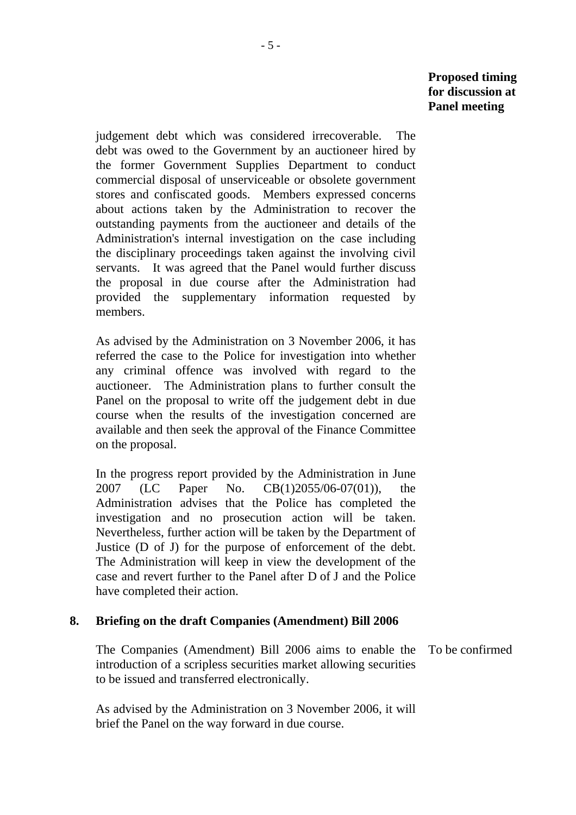**Proposed timing for discussion at Panel meeting** 

judgement debt which was considered irrecoverable. The debt was owed to the Government by an auctioneer hired by the former Government Supplies Department to conduct commercial disposal of unserviceable or obsolete government stores and confiscated goods. Members expressed concerns about actions taken by the Administration to recover the outstanding payments from the auctioneer and details of the Administration's internal investigation on the case including the disciplinary proceedings taken against the involving civil servants. It was agreed that the Panel would further discuss the proposal in due course after the Administration had provided the supplementary information requested by members.

 As advised by the Administration on 3 November 2006, it has referred the case to the Police for investigation into whether any criminal offence was involved with regard to the auctioneer. The Administration plans to further consult the Panel on the proposal to write off the judgement debt in due course when the results of the investigation concerned are available and then seek the approval of the Finance Committee on the proposal.

 In the progress report provided by the Administration in June 2007 (LC Paper No. CB(1)2055/06-07(01)), the Administration advises that the Police has completed the investigation and no prosecution action will be taken. Nevertheless, further action will be taken by the Department of Justice (D of J) for the purpose of enforcement of the debt. The Administration will keep in view the development of the case and revert further to the Panel after D of J and the Police have completed their action.

#### **8. Briefing on the draft Companies (Amendment) Bill 2006**

 The Companies (Amendment) Bill 2006 aims to enable the To be confirmed introduction of a scripless securities market allowing securities to be issued and transferred electronically.

 As advised by the Administration on 3 November 2006, it will brief the Panel on the way forward in due course.